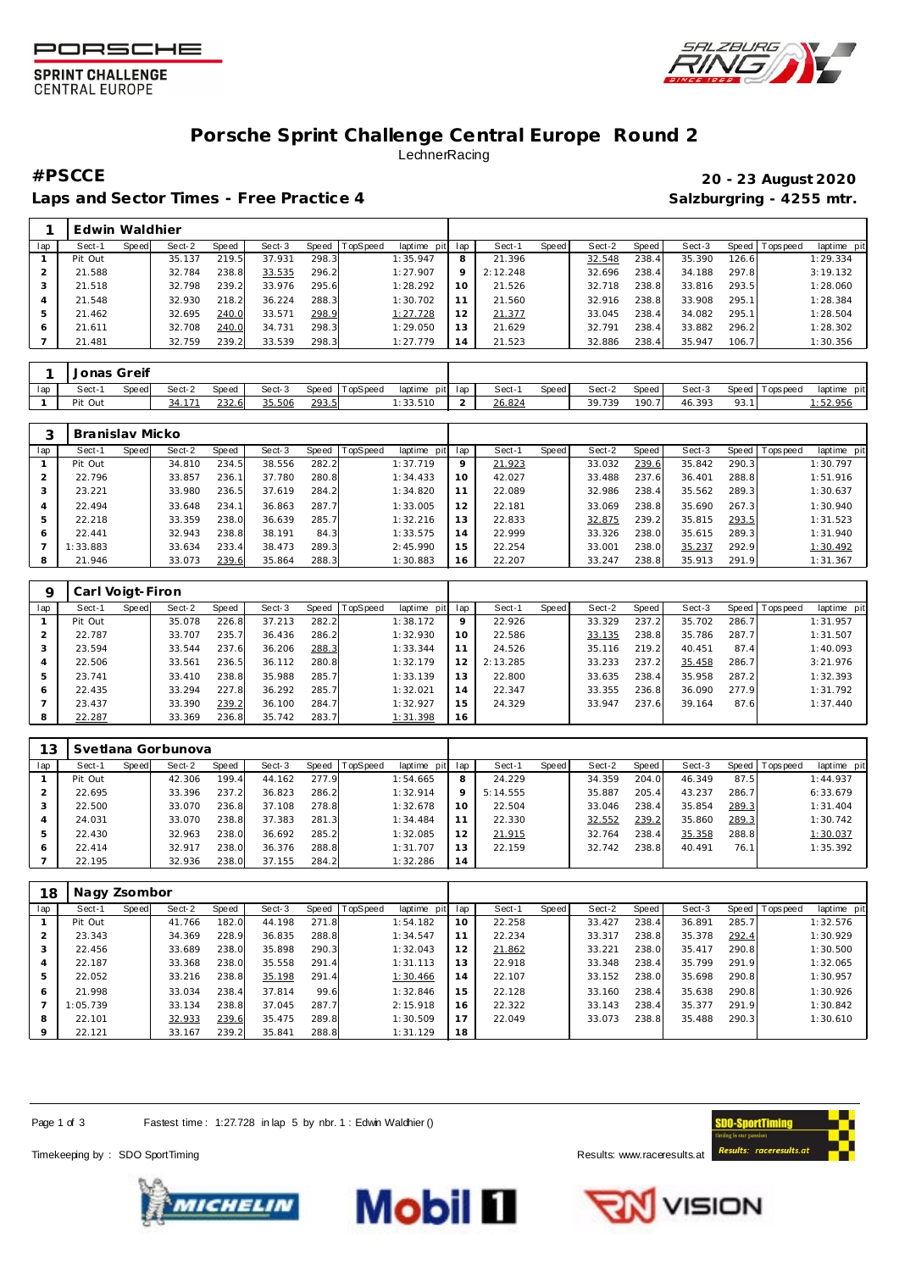





## **Porsche Sprint Challenge Central Europe Round 2** LechnerRacing

Laps and Sector Times - Free Practice 4 **Salzburgring - 4255 mtr.** And Salzburgring - 4255 mtr.

**#PSCCE 20 - 23 August 2020**

|     | Edwin Waldhier |       |        |              |        |              |                 |             |          |          |       |        |       |        |        |            |             |
|-----|----------------|-------|--------|--------------|--------|--------------|-----------------|-------------|----------|----------|-------|--------|-------|--------|--------|------------|-------------|
| lap | Sect-1         | Speed | Sect-2 | <b>Speed</b> | Sect-3 | Speed        | <b>TopSpeed</b> | laptime pit | lap      | Sect-1   | Speed | Sect-2 | Speed | Sect-3 | Speed  | T ops peed | laptime pit |
|     | Pit Out        |       | 35.137 | 219.5        | 37.931 | 298.3        |                 | 1:35.947    | 8        | 21.396   |       | 32.548 | 238.4 | 35.390 | 126.61 |            | 1:29.334    |
|     | 21.588         |       | 32.784 | 238.8        | 33.535 | 296.2        |                 | 1:27.907    | $\Omega$ | 2:12.248 |       | 32.696 | 238.4 | 34.188 | 297.8  |            | 3:19.132    |
|     | 21.518         |       | 32.798 | 239.2        | 33.976 | 295.6        |                 | 1:28.292    | 10       | 21.526   |       | 32.718 | 238.8 | 33.816 | 293.5  |            | 1:28.060    |
|     | 21.548         |       | 32.930 | 218.2        | 36.224 | 288.3        |                 | 1:30.702    |          | 21.560   |       | 32.916 | 238.8 | 33.908 | 295.1  |            | 1:28.384    |
| 5   | 21.462         |       | 32.695 | 240.0        | 33.571 | <u>298.9</u> |                 | 1:27.728    |          | 21.377   |       | 33.045 | 238.4 | 34.082 | 295.1  |            | 1:28.504    |
| 6   | 21.611         |       | 32.708 | 240.0        | 34.731 | 298.3        |                 | 1:29.050    | 13       | 21.629   |       | 32.791 | 238.4 | 33.882 | 296.2  |            | 1:28.302    |
|     | 21.481         |       | 32.759 | 239.2        | 33.539 | 298.3        |                 | 1:27.779    | 14       | 21.523   |       | 32.886 | 238.4 | 35.947 | 106.7  |            | 1:30.356    |

|     | Jonas Greif |       |        |              |        |       |          |          |             |        |       |        |       |        |      |                   |             |
|-----|-------------|-------|--------|--------------|--------|-------|----------|----------|-------------|--------|-------|--------|-------|--------|------|-------------------|-------------|
| lap | Sect-1      | Speed | Sect-2 | <b>Speed</b> | Sect-3 | Speed | TopSpeed | laptime  | pit lap     | Sect-  | Speed | Sect-2 | Speed | Sect-3 |      | Speed   Tops peed | laptime pit |
|     | Pit Out     |       |        | 232.6        | 35.506 | 293.5 |          | : 33.510 | $\sim$<br>- | 26.824 |       | 39.739 | 190.7 | 46.393 | 93.1 |                   | : 52.956    |

|     | Branislay Micko |       |        |       |        |       |          |             |     |        |       |        |       |        |       |                   |             |
|-----|-----------------|-------|--------|-------|--------|-------|----------|-------------|-----|--------|-------|--------|-------|--------|-------|-------------------|-------------|
| lap | Sect-1          | Speed | Sect-2 | Speed | Sect-3 | Speed | TopSpeed | laptime pit | lap | Sect-1 | Speed | Sect-2 | Speed | Sect-3 |       | Speed   Tops peed | laptime pit |
|     | Pit Out         |       | 34.810 | 234.5 | 38.556 | 282.2 |          | 1:37.719    | 9   | 21.923 |       | 33.032 | 239.6 | 35.842 | 290.3 |                   | 1:30.797    |
|     | 22.796          |       | 33.857 | 236.1 | 37.780 | 280.8 |          | 1:34.433    | 10  | 42.027 |       | 33.488 | 237.6 | 36.401 | 288.8 |                   | 1:51.916    |
| 3   | 23.221          |       | 33.980 | 236.5 | 37.619 | 284.2 |          | 1:34.820    | 11  | 22.089 |       | 32.986 | 238.4 | 35.562 | 289.3 |                   | 1:30.637    |
| 4   | 22.494          |       | 33.648 | 234.1 | 36.863 | 287.7 |          | 1:33.005    | 12  | 22.181 |       | 33.069 | 238.8 | 35.690 | 267.3 |                   | 1:30.940    |
| 5   | 22.218          |       | 33.359 | 238.0 | 36.639 | 285.7 |          | 1:32.216    | 13  | 22.833 |       | 32.875 | 239.2 | 35.815 | 293.5 |                   | 1:31.523    |
| 6   | 22.441          |       | 32.943 | 238.8 | 38.191 | 84.3  |          | 1:33.575    | 14  | 22.999 |       | 33.326 | 238.0 | 35.615 | 289.3 |                   | 1:31.940    |
| -   | 1:33.883        |       | 33.634 | 233.4 | 38.473 | 289.3 |          | 2:45.990    | 15  | 22.254 |       | 33.001 | 238.0 | 35.237 | 292.9 |                   | 1:30.492    |
| 8   | 21.946          |       | 33.073 | 239.6 | 35.864 | 288.3 |          | 1:30.883    | 16  | 22.207 |       | 33.247 | 238.8 | 35.913 | 291.9 |                   | 1:31.367    |

|     | Carl Voigt-Firon |       |        |       |        |       |                |             |         |          |       |        |       |        |       |                   |             |
|-----|------------------|-------|--------|-------|--------|-------|----------------|-------------|---------|----------|-------|--------|-------|--------|-------|-------------------|-------------|
| lap | Sect-1           | Speed | Sect-2 | Speed | Sect-3 |       | Speed TopSpeed | laptime pit | lap     | Sect-1   | Speed | Sect-2 | Speed | Sect-3 |       | Speed   Tops peed | laptime pit |
|     | Pit Out          |       | 35.078 | 226.8 | 37.213 | 282.2 |                | 1:38.172    | $\circ$ | 22.926   |       | 33.329 | 237.2 | 35.702 | 286.7 |                   | 1:31.957    |
|     | 22.787           |       | 33.707 | 235.7 | 36.436 | 286.2 |                | 1:32.930    | 10      | 22.586   |       | 33.135 | 238.8 | 35.786 | 287.7 |                   | 1:31.507    |
|     | 23.594           |       | 33.544 | 237.6 | 36.206 | 288.3 |                | 1:33.344    | 11      | 24.526   |       | 35.116 | 219.2 | 40.451 | 87.4  |                   | 1:40.093    |
| 4   | 22.506           |       | 33.561 | 236.5 | 36.112 | 280.8 |                | 1:32.179    | 12      | 2:13.285 |       | 33.233 | 237.2 | 35.458 | 286.7 |                   | 3:21.976    |
| 5   | 23.741           |       | 33.410 | 238.8 | 35.988 | 285.7 |                | 1:33.139    | 13      | 22,800   |       | 33.635 | 238.4 | 35.958 | 287.2 |                   | 1:32.393    |
| 6   | 22.435           |       | 33.294 | 227.8 | 36.292 | 285.7 |                | 1:32.021    | 14      | 22.347   |       | 33.355 | 236.8 | 36.090 | 277.9 |                   | 1:31.792    |
|     | 23.437           |       | 33.390 | 239.2 | 36.100 | 284.7 |                | 1:32.927    | 15      | 24.329   |       | 33.947 | 237.6 | 39.164 | 87.6  |                   | 1:37.440    |
| 8   | 22.287           |       | 33.369 | 236.8 | 35.742 | 283.7 |                | 1:31.398    | 16      |          |       |        |       |        |       |                   |             |

| 13  |         |       | Svetlana Gorbunova |       |        |       |                 |             |                 |          |       |        |       |        |       |          |             |
|-----|---------|-------|--------------------|-------|--------|-------|-----------------|-------------|-----------------|----------|-------|--------|-------|--------|-------|----------|-------------|
| lap | Sect-1  | Speed | Sect-2             | Speed | Sect-3 | Speed | <b>TopSpeed</b> | laptime pit | lap             | Sect-1   | Speed | Sect-2 | Speed | Sect-3 | Speed | Topspeed | laptime pit |
|     | Pit Out |       | 42.306             | 199.4 | 44.162 | 277.9 |                 | 1:54.665    | 8               | 24.229   |       | 34.359 | 204.0 | 46.349 | 87.5  |          | 1:44.937    |
|     | 22.695  |       | 33.396             | 237.2 | 36.823 | 286.2 |                 | 1:32.914    | $\circ$         | 5:14.555 |       | 35.887 | 205.4 | 43.237 | 286.7 |          | 6:33.679    |
|     | 22.500  |       | 33.070             | 236.8 | 37.108 | 278.8 |                 | 1:32.678    | 10 <sup>°</sup> | 22.504   |       | 33.046 | 238.4 | 35.854 | 289.3 |          | 1:31.404    |
|     | 24.031  |       | 33.070             | 238.8 | 37.383 | 281.3 |                 | 1:34.484    | 11              | 22.330   |       | 32.552 | 239.2 | 35.860 | 289.3 |          | 1:30.742    |
| 5   | 22.430  |       | 32.963             | 238.0 | 36.692 | 285.2 |                 | 1:32.085    | 12              | 21.915   |       | 32.764 | 238.4 | 35.358 | 288.8 |          | 1:30.037    |
| 6   | 22.414  |       | 32.917             | 238.0 | 36.376 | 288.8 |                 | 1:31.707    | 13              | 22.159   |       | 32.742 | 238.8 | 40.491 | 76.1  |          | 1:35.392    |
|     | 22.195  |       | 32.936             | 238.0 | 37.155 | 284.2 |                 | 1:32.286    | 14              |          |       |        |       |        |       |          |             |

| 18  | Nagy Zsombor |       |        |       |        |       |          |             |     |        |       |        |       |        |       |                   |             |
|-----|--------------|-------|--------|-------|--------|-------|----------|-------------|-----|--------|-------|--------|-------|--------|-------|-------------------|-------------|
| lap | Sect-1       | Speed | Sect-2 | Speed | Sect-3 | Speed | TopSpeed | laptime pit | lap | Sect-1 | Speed | Sect-2 | Speed | Sect-3 |       | Speed   Tops peed | laptime pit |
|     | Pit Out      |       | 41.766 | 182.0 | 44.198 | 271.8 |          | 1:54.182    | 10  | 22.258 |       | 33.427 | 238.4 | 36.891 | 285.7 |                   | 1:32.576    |
|     | 23.343       |       | 34.369 | 228.9 | 36.835 | 288.8 |          | 1:34.547    | 11  | 22.234 |       | 33.317 | 238.8 | 35.378 | 292.4 |                   | 1:30.929    |
| 3   | 22.456       |       | 33.689 | 238.0 | 35.898 | 290.3 |          | 1:32.043    | 12  | 21.862 |       | 33.221 | 238.0 | 35.417 | 290.8 |                   | 1:30.500    |
| 4   | 22.187       |       | 33.368 | 238.0 | 35.558 | 291.4 |          | 1:31.113    | 13  | 22.918 |       | 33.348 | 238.4 | 35.799 | 291.9 |                   | 1:32.065    |
| 5   | 22.052       |       | 33.216 | 238.8 | 35.198 | 291.4 |          | 1:30.466    | 14  | 22.107 |       | 33.152 | 238.0 | 35.698 | 290.8 |                   | 1:30.957    |
| 6   | 21.998       |       | 33.034 | 238.4 | 37.814 | 99.6  |          | 1:32.846    | 15  | 22.128 |       | 33.160 | 238.4 | 35.638 | 290.8 |                   | 1:30.926    |
|     | 1:05.739     |       | 33.134 | 238.8 | 37.045 | 287.7 |          | 2:15.918    | 16  | 22.322 |       | 33.143 | 238.4 | 35.377 | 291.9 |                   | 1:30.842    |
| 8   | 22.101       |       | 32.933 | 239.6 | 35.475 | 289.8 |          | 1:30.509    | 17  | 22.049 |       | 33.073 | 238.8 | 35.488 | 290.3 |                   | 1:30.610    |
| 9   | 22.121       |       | 33.167 | 239.2 | 35.841 | 288.8 |          | 1:31.129    | 18  |        |       |        |       |        |       |                   |             |

Page 1 of 3 Fastest time: 1:27.728 in lap 5 by nbr. 1 : Edwin Waldhier ()

Timekeeping by : SDO SportTiming **Results: WWW.raceresults.at** 







**VISION**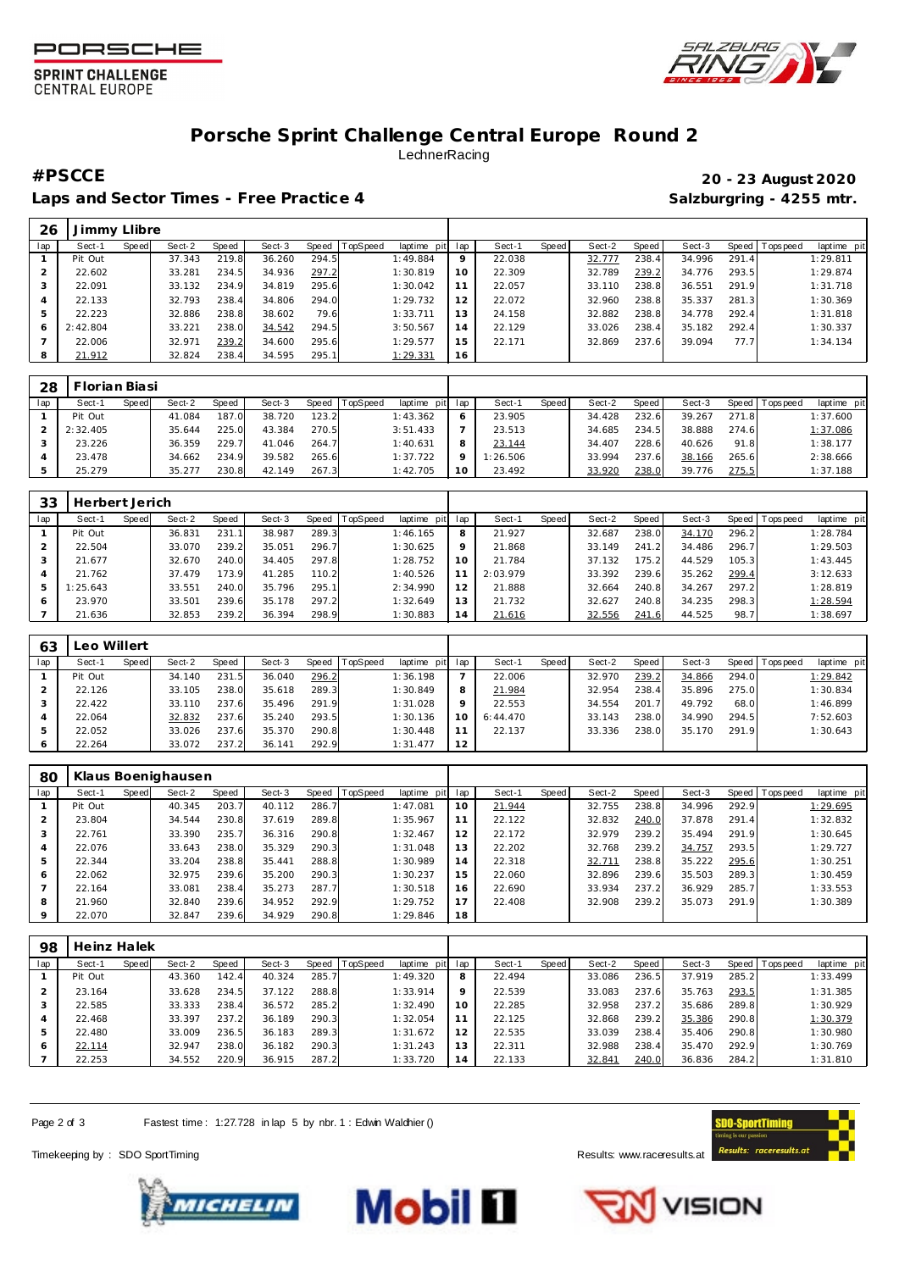





## **Porsche Sprint Challenge Central Europe Round 2** LechnerRacing

Laps and Sector Times - Free Practice 4 **Salzburgring - 4255 mtr.** And Salzburgring - 4255 mtr.

## **#PSCCE 20 - 23 August 2020**

| 26  | Jimmy Llibre |              |        |       |        |       |                 |             |         |        |       |        |       |        |       |                 |             |
|-----|--------------|--------------|--------|-------|--------|-------|-----------------|-------------|---------|--------|-------|--------|-------|--------|-------|-----------------|-------------|
| lap | Sect-1       | <b>Speed</b> | Sect-2 | Speed | Sect-3 | Speed | <b>TopSpeed</b> | laptime pit | lap     | Sect-1 | Speed | Sect-2 | Speed | Sect-3 |       | Speed Tops peed | laptime pit |
|     | Pit Out      |              | 37.343 | 219.8 | 36.260 | 294.5 |                 | 1:49.884    | $\circ$ | 22.038 |       | 32.777 | 238.4 | 34.996 | 291.4 |                 | 1:29.811    |
|     | 22.602       |              | 33.281 | 234.5 | 34.936 | 297.2 |                 | 1:30.819    | 10      | 22.309 |       | 32.789 | 239.2 | 34.776 | 293.5 |                 | 1:29.874    |
|     | 22.091       |              | 33.132 | 234.9 | 34.819 | 295.6 |                 | 1:30.042    |         | 22.057 |       | 33.110 | 238.8 | 36.551 | 291.9 |                 | 1:31.718    |
|     | 22.133       |              | 32.793 | 238.4 | 34.806 | 294.0 |                 | 1:29.732    | 12      | 22.072 |       | 32.960 | 238.8 | 35.337 | 281.3 |                 | 1:30.369    |
|     | 22.223       |              | 32.886 | 238.8 | 38.602 | 79.6  |                 | 1:33.711    | 13      | 24.158 |       | 32.882 | 238.8 | 34.778 | 292.4 |                 | 1:31.818    |
|     | 2:42.804     |              | 33.221 | 238.0 | 34.542 | 294.5 |                 | 3:50.567    | 14      | 22.129 |       | 33.026 | 238.4 | 35.182 | 292.4 |                 | 1:30.337    |
|     | 22.006       |              | 32.971 | 239.2 | 34.600 | 295.6 |                 | 1:29.577    | 15      | 22.171 |       | 32.869 | 237.6 | 39.094 | 77.7  |                 | 1:34.134    |
|     | 21.912       |              | 32.824 | 238.4 | 34.595 | 295.1 |                 | 1:29.331    | 16      |        |       |        |       |        |       |                 |             |

| 28  | Florian Biasi |       |        |       |        |          |          |                 |          |       |        |       |        |       |                 |             |
|-----|---------------|-------|--------|-------|--------|----------|----------|-----------------|----------|-------|--------|-------|--------|-------|-----------------|-------------|
| lap | Sect-1        | Speed | Sect-2 | Speed | Sect-3 | Speed IT | TopSpeed | laptime pit lap | Sect-1   | Speed | Sect-2 | Speed | Sect-3 |       | Speed Tops peed | laptime pit |
|     | Pit Out       |       | 41.084 | 187.0 | 38.720 | 123.2    |          | 1:43.362        | 23.905   |       | 34.428 | 232.6 | 39.267 | 271.8 |                 | 1:37.600    |
|     | 2:32.405      |       | 35.644 | 225.0 | 43.384 | 270.5    |          | 3:51.433        | 23.513   |       | 34.685 | 234.5 | 38.888 | 274.6 |                 | 1:37.086    |
|     | 23.226        |       | 36.359 | 229.7 | 41.046 | 264.7    |          | 1:40.631        | 23.144   |       | 34.407 | 228.6 | 40.626 | 91.8  |                 | 1:38.177    |
|     | 23.478        |       | 34.662 | 234.9 | 39.582 | 265.6    |          | 1:37.722        | 1:26.506 |       | 33.994 | 237.6 | 38.166 | 265.6 |                 | 2:38.666    |
|     | 25.279        |       | 35.277 | 230.8 | 42.149 | 267.3    |          | 1:42.705        | 23.492   |       | 33.920 | 238.0 | 39.776 | 275.5 |                 | 1:37.188    |

| 33  | Herbert Jerich |       |        |       |        |       |          |             |     |          |       |        |              |        |       |                  |             |
|-----|----------------|-------|--------|-------|--------|-------|----------|-------------|-----|----------|-------|--------|--------------|--------|-------|------------------|-------------|
| lap | Sect-1         | Speed | Sect-2 | Speed | Sect-3 | Speed | TopSpeed | laptime pit | lap | Sect-1   | Speed | Sect-2 | <b>Speed</b> | Sect-3 | Speed | <b>Tops peed</b> | laptime pit |
|     | Pit Out        |       | 36.831 | 231.  | 38.987 | 289.3 |          | 1:46.165    | 8   | 21.927   |       | 32.687 | 238.0        | 34.170 | 296.2 |                  | 1:28.784    |
|     | 22.504         |       | 33.070 | 239.2 | 35.051 | 296.7 |          | 1:30.625    | 9   | 21.868   |       | 33.149 | 241.2        | 34.486 | 296.7 |                  | 1:29.503    |
|     | 21.677         |       | 32.670 | 240.0 | 34.405 | 297.8 |          | 1:28.752    | 10  | 21.784   |       | 37.132 | 175.2        | 44.529 | 105.3 |                  | 1:43.445    |
|     | 21.762         |       | 37.479 | 173.9 | 41.285 | 110.2 |          | 1:40.526    |     | 2:03.979 |       | 33.392 | 239.6        | 35.262 | 299.4 |                  | 3:12.633    |
| 5   | I: 25.643      |       | 33.551 | 240.0 | 35.796 | 295.1 |          | 2:34.990    | 12  | 21.888   |       | 32.664 | 240.8        | 34.267 | 297.2 |                  | 1:28.819    |
| 6   | 23.970         |       | 33.501 | 239.6 | 35.178 | 297.2 |          | 1:32.649    | 13  | 21.732   |       | 32.627 | 240.8        | 34.235 | 298.3 |                  | 1:28.594    |
|     | 21.636         |       | 32.853 | 239.2 | 36.394 | 298.9 |          | 1:30.883    | 14  | 21.616   |       | 32.556 | 241.6        | 44.525 | 98.7  |                  | 1:38.697    |

| 63  | Leo Willert |       |        |       |        |       |          |             |     |           |       |        |       |        |       |                |             |
|-----|-------------|-------|--------|-------|--------|-------|----------|-------------|-----|-----------|-------|--------|-------|--------|-------|----------------|-------------|
| lap | Sect-1      | Speed | Sect-2 | Speed | Sect-3 | Speed | TopSpeed | laptime pit | lap | Sect-1    | Speed | Sect-2 | Speed | Sect-3 |       | Speed Topspeed | laptime pit |
|     | Pit Out     |       | 34.140 | 231.5 | 36.040 | 296.2 |          | 1:36.198    |     | 22.006    |       | 32.970 | 239.2 | 34.866 | 294.0 |                | 1:29.842    |
|     | 22.126      |       | 33.105 | 238.0 | 35.618 | 289.3 |          | 1:30.849    | 8   | 21.984    |       | 32.954 | 238.4 | 35.896 | 275.0 |                | 1:30.834    |
|     | 22.422      |       | 33.110 | 237.6 | 35.496 | 291.9 |          | 1:31.028    | Q   | 22.553    |       | 34.554 | 201.7 | 49.792 | 68.0  |                | 1:46.899    |
|     | 22.064      |       | 32.832 | 237.6 | 35.240 | 293.5 |          | 1:30.136    | 10  | 6: 44.470 |       | 33.143 | 238.0 | 34.990 | 294.5 |                | 7:52.603    |
|     | 22.052      |       | 33.026 | 237.6 | 35.370 | 290.8 |          | 1:30.448    |     | 22.137    |       | 33.336 | 238.0 | 35.170 | 291.9 |                | 1:30.643    |
|     | 22.264      |       | 33.072 | 237.2 | 36.141 | 292.9 |          | 1:31.477    | 12  |           |       |        |       |        |       |                |             |

| 80      |         |       | Klaus Boenighausen |       |        |       |          |                |     |        |       |        |       |        |       |            |             |
|---------|---------|-------|--------------------|-------|--------|-------|----------|----------------|-----|--------|-------|--------|-------|--------|-------|------------|-------------|
| lap     | Sect-1  | Speed | Sect-2             | Speed | Sect-3 | Speed | TopSpeed | laptime<br>pit | lap | Sect-1 | Speed | Sect-2 | Speed | Sect-3 | Speed | Tops pee d | laptime pit |
|         | Pit Out |       | 40.345             | 203.7 | 40.112 | 286.7 |          | 1:47.081       | 10  | 21.944 |       | 32.755 | 238.8 | 34.996 | 292.9 |            | 1:29.695    |
|         | 23.804  |       | 34.544             | 230.8 | 37.619 | 289.8 |          | 1:35.967       | 11  | 22.122 |       | 32.832 | 240.0 | 37.878 | 291.4 |            | 1:32.832    |
|         | 22.761  |       | 33.390             | 235.7 | 36.316 | 290.8 |          | 1:32.467       | 12  | 22.172 |       | 32.979 | 239.2 | 35.494 | 291.9 |            | 1:30.645    |
|         | 22.076  |       | 33.643             | 238.0 | 35.329 | 290.3 |          | 1:31.048       | 13  | 22.202 |       | 32.768 | 239.2 | 34.757 | 293.5 |            | 1:29.727    |
|         | 22.344  |       | 33.204             | 238.8 | 35.441 | 288.8 |          | 1:30.989       | 14  | 22.318 |       | 32.711 | 238.8 | 35.222 | 295.6 |            | 1:30.251    |
| 6       | 22.062  |       | 32.975             | 239.6 | 35.200 | 290.3 |          | 1:30.237       | 15  | 22.060 |       | 32.896 | 239.6 | 35.503 | 289.3 |            | 1:30.459    |
|         | 22.164  |       | 33.081             | 238.4 | 35.273 | 287.7 |          | 1:30.518       | 16  | 22.690 |       | 33.934 | 237.2 | 36.929 | 285.7 |            | 1:33.553    |
| 8       | 21.960  |       | 32.840             | 239.6 | 34.952 | 292.9 |          | 1:29.752       | 17  | 22.408 |       | 32.908 | 239.2 | 35.073 | 291.9 |            | 1:30.389    |
| $\circ$ | 22.070  |       | 32.847             | 239.6 | 34.929 | 290.8 |          | 1:29.846       | 18  |        |       |        |       |        |       |            |             |

| 98  | Heinz Halek |       |        |       |        |       |          |             |         |        |              |        |       |        |       |                 |             |
|-----|-------------|-------|--------|-------|--------|-------|----------|-------------|---------|--------|--------------|--------|-------|--------|-------|-----------------|-------------|
| lap | Sect-1      | Speed | Sect-2 | Speed | Sect-3 | Speed | TopSpeed | laptime pit | lap     | Sect-1 | <b>Speed</b> | Sect-2 | Speed | Sect-3 |       | Speed Tops peed | laptime pit |
|     | Pit Out     |       | 43.360 | 142.4 | 40.324 | 285.7 |          | 1:49.320    | 8       | 22.494 |              | 33.086 | 236.5 | 37.919 | 285.2 |                 | 1:33.499    |
| 2   | 23.164      |       | 33.628 | 234.5 | 37.122 | 288.8 |          | 1:33.914    | $\circ$ | 22.539 |              | 33.083 | 237.6 | 35.763 | 293.5 |                 | 1:31.385    |
| 3   | 22.585      |       | 33.333 | 238.4 | 36.572 | 285.2 |          | 1:32.490    | 10      | 22.285 |              | 32.958 | 237.2 | 35.686 | 289.8 |                 | 1:30.929    |
| 4   | 22.468      |       | 33.397 | 237.2 | 36.189 | 290.3 |          | 1:32.054    | 11      | 22.125 |              | 32.868 | 239.2 | 35.386 | 290.8 |                 | 1:30.379    |
| 5   | 22.480      |       | 33.009 | 236.5 | 36.183 | 289.3 |          | 1:31.672    | 12      | 22.535 |              | 33.039 | 238.4 | 35.406 | 290.8 |                 | 1:30.980    |
| 6   | 22.114      |       | 32.947 | 238.0 | 36.182 | 290.3 |          | 1:31.243    | 13      | 22.311 |              | 32.988 | 238.4 | 35.470 | 292.9 |                 | 1:30.769    |
|     | 22.253      |       | 34.552 | 220.9 | 36.915 | 287.2 |          | 1:33.720    | 14      | 22.133 |              | 32.841 | 240.0 | 36.836 | 284.2 |                 | 1:31.810    |

Page 2 of 3 Fastest time: 1:27.728 in lap 5 by nbr. 1 : Edwin Waldhier ()

Timekeeping by : SDO SportTiming **Results: WWW.raceresults.at** 







VISION